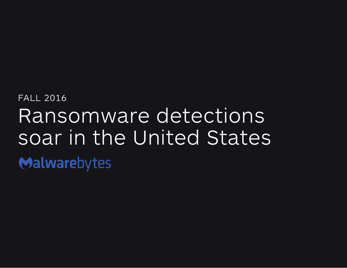# FALL 2016 Ransomware detections soar in the United StatesMalwarebytes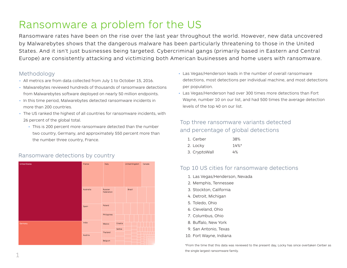# Ransomware a problem for the US

Ransomware rates have been on the rise over the last year throughout the world. However, new data uncovered by Malwarebytes shows that the dangerous malware has been particularly threatening to those in the United States. And it isn't just businesses being targeted. Cybercriminal gangs (primarily based in Eastern and Central Europe) are consistently attacking and victimizing both American businesses and home users with ransomware.

### Methodology

- All metrics are from data collected from July 1 to October 15, 2016.
- Malwarebytes reviewed hundreds of thousands of ransomware detections from Malwarebytes software deployed on nearly 50 million endpoints.
- In this time period, Malwarebytes detected ransomware incidents in more than 200 countries.
- The US ranked the highest of all countries for ransomware incidents, with 26 percent of the global total.
	- This is 200 percent more ransomware detected than the number two country, Germany, and approximately 550 percent more than the number three country, France.

### Ransomware detections by country



- Las Vegas/Henderson leads in the number of overall ransomware detections, most detections per individual machine, and most detections per population.
- Las Vegas/Henderson had over 300 times more detections than Fort Wayne, number 10 on our list, and had 500 times the average detection levels of the top 40 on our list.

### Top three ransomware variants detected and percentage of global detections

| 1. Cerber     | 38%      |
|---------------|----------|
| 2. Locky      | $14\%$ * |
| 3. CryptoWall | 4%       |

### Top 10 US cities for ransomware detections

- 1. Las Vegas/Henderson, Nevada
- 2. Memphis, Tennessee
- 3. Stockton, California
- 4. Detroit, Michigan
- 5. Toledo, Ohio
- 6. Cleveland, Ohio
- 7. Columbus, Ohio
- 8. Buffalo, New York
- 9. San Antonio, Texas
- 10. Fort Wayne, Indiana

\*From the time that this data was reviewed to the present day, Locky has since overtaken Cerber as the single largest ransomware family.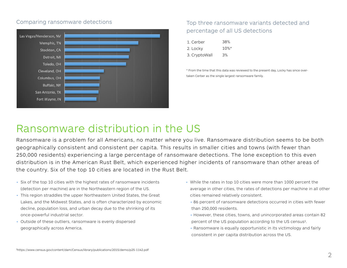### Comparing ransomware detections



### Top three ransomware variants detected and percentage of all US detections

| 1. Cerber     | 38%                 |
|---------------|---------------------|
| 2. Locky      | $10\%$ <sup>*</sup> |
| 3. CryptoWall | 3%                  |

\* From the time that this data was reviewed to the present day, Locky has since overtaken Cerber as the single largest ransomware family.

# Ransomware distribution in the US

Ransomware is a problem for all Americans, no matter where you live. Ransomware distribution seems to be both geographically consistent and consistent per capita. This results in smaller cities and towns (with fewer than 250,000 residents) experiencing a large percentage of ransomware detections. The lone exception to this even distribution is in the American Rust Belt, which experienced higher incidents of ransomware than other areas of the country. Six of the top 10 cities are located in the Rust Belt.

- Six of the top 10 cities with the highest rates of ransomware incidents (detection per machine) are in the Northeastern region of the US.
- This region straddles the upper Northeastern United States, the Great Lakes, and the Midwest States, and is often characterized by economic decline, population loss, and urban decay due to the shrinking of its once-powerful industrial sector.
- Outside of these outliers, ransomware is evenly dispersed geographically across America.
- While the rates in top 10 cities were more than 1000 percent the average in other cities, the rates of detections per machine in all other cities remained relatively consistent.
	- 86 percent of ransomware detections occurred in cities with fewer than 250,000 residents.
	- However, these cities, towns, and unincorporated areas contain 82 percent of the US population according to the US census1.
	- Ransomware is equally opportunistic in its victimology and fairly consistent in per capita distribution across the US.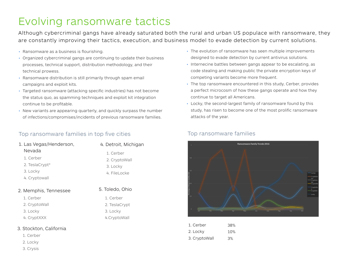# Evolving ransomware tactics

Although cybercriminal gangs have already saturated both the rural and urban US populace with ransomware, they are constantly improving their tactics, execution, and business model to evade detection by current solutions.

- Ransomware as a business is flourishing.
- Organized cybercriminal gangs are continuing to update their business processes, technical support, distribution methodology, and their technical prowess.
- Ransomware distribution is still primarily through spam email campaigns and exploit kits.
- Targeted ransomware (attacking specific industries) has not become the status quo, as spamming techniques and exploit kit integration continue to be profitable.
- New variants are appearing quarterly, and quickly surpass the number of infections/compromises/incidents of previous ransomware families.

### Top ransomware families in top five cities

| 1. Las Vegas/Henderson, | 4. Detroit, Michigan |
|-------------------------|----------------------|
| Nevada                  | 1. Cerber            |
| 1. Cerber               | 2. CryptoWall        |
| 2. TeslaCrypt*          | 3. Locky             |
| 3. Locky                | 4. FileLocke         |
| 4. Cryptowall           |                      |
| 7 Mamnhic Tannaccaa     | 5. Toledo, Ohio      |

1. Cerber 2. TeslaCrypt 3. Locky 4.CryptoWall

#### 2. Memphis, Tennessee

- 1. Cerber
- 2. CryptoWall
- 3. Locky
- 4. CryptXXX

#### 3. Stockton, California

- 1. Cerber
- 2. Locky
- 3. Crysis
- The evolution of ransomware has seen multiple improvements designed to evade detection by current antivirus solutions.
- Internecine battles between gangs appear to be escalating, as code stealing and making public the private encryption keys of competing variants become more frequent.
- The top ransomware encountered in this study, Cerber, provides a perfect microcosm of how these gangs operate and how they continue to target all Americans.
- Locky, the second-largest family of ransomware found by this study, has risen to become one of the most prolific ransomware attacks of the year.



| Top ransomware families |  |
|-------------------------|--|
|-------------------------|--|

| 1. Cerber     | 38% |
|---------------|-----|
| 2. Locky      | 10% |
| 3. CryptoWall | 3%  |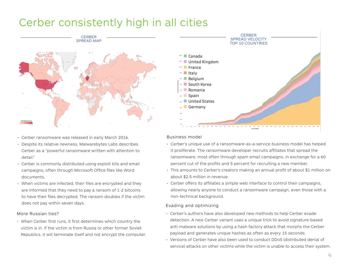## Cerber consistently high in all cities



- Cerber ransomware was released in early March 2016.
- Despite its relative newness, Malwarebytes Labs describes Cerber as a "powerful ransomware written with attention to detail."
- Cerber is commonly distributed using exploit kits and email campaigns, often through Microsoft Office files like Word documents.
- When victims are infected, their files are encrypted and they are informed that they need to pay a ransom of 1-2 bitcoins to have their files decrypted. The ransom doubles if the victim does not pay within seven days.

#### More Russian ties?

• When Cerber first runs, it first determines which country the victim is in. If the victim is from Russia or other former Soviet Republics, it will terminate itself and not encrypt the computer.



#### Business model

- Cerber's unique use of a ransomware-as-a-service business model has helped it proliferate. The ransomware developer recruits affiliates that spread the ransomware, most often through spam email campaigns, in exchange for a 60 percent cut of the profits and 5 percent for recruiting a new member.
- This amounts to Cerber's creators making an annual profit of about \$1 million on about \$2.5 million in revenue.
- Cerber offers its affiliates a simple web interface to control their campaigns, allowing nearly anyone to conduct a ransomware campaign, even those with a non-technical background.

#### Evading and optimizing

- Cerber's authors have also developed new methods to help Cerber evade detection. A new Cerber variant uses a unique trick to avoid signature-based anti-malware solutions by using a hash factory attack that morphs the Cerber payload and generates unique hashes as often as every 15 seconds.
- Versions of Cerber have also been used to conduct DDoS (distributed denial of service) attacks on other victims while the victim is unable to access their system.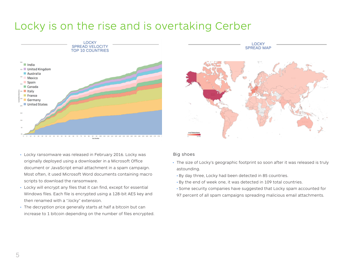# Locky is on the rise and is overtaking Cerber





- Locky ransomware was released in February 2016. Locky was originally deployed using a downloader in a Microsoft Office document or JavaScript email attachment in a spam campaign. Most often, it used Microsoft Word documents containing macro scripts to download the ransomware.
- Locky will encrypt any files that it can find, except for essential Windows files. Each file is encrypted using a 128-bit AES key and then renamed with a ".locky" extension.
- The decryption price generally starts at half a bitcoin but can increase to 1 bitcoin depending on the number of files encrypted.

#### Big shoes

- The size of Locky's geographic footprint so soon after it was released is truly astounding.
	- By day three, Locky had been detected in 85 countries.
	- By the end of week one, it was detected in 109 total countries.
	- Some security companies have suggested that Locky spam accounted for
	- 97 percent of all spam campaigns spreading malicious email attachments.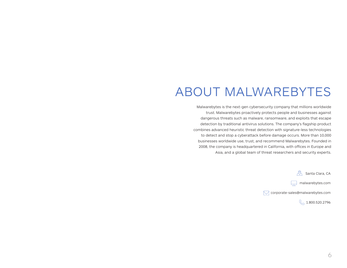# ABOUT MALWAREBYTES

Malwarebytes is the next-gen cybersecurity company that millions worldwide trust. Malwarebytes proactively protects people and businesses against dangerous threats such as malware, ransomware, and exploits that escape detection by traditional antivirus solutions. The company's flagship product combines advanced heuristic threat detection with signature-less technologies to detect and stop a cyberattack before damage occurs. More than 10,000 businesses worldwide use, trust, and recommend Malwarebytes. Founded in 2008, the company is headquartered in California, with offices in Europe and Asia, and a global team of threat researchers and security experts.

**A** Santa Clara, CA

 $\Box$  malwarebytes.com

corporate-sales@malwarebytes.com

 $\%$ , 1.800.520.2796